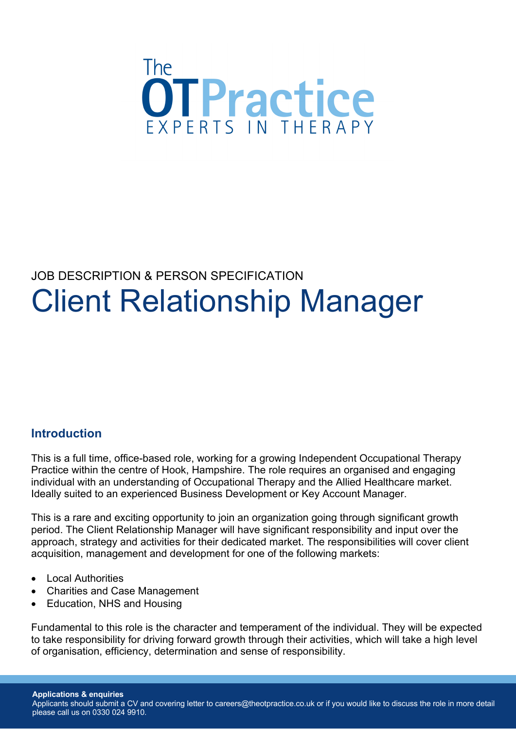

# JOB DESCRIPTION & PERSON SPECIFICATION Client Relationship Manager

## **Introduction**

This is a full time, office-based role, working for a growing Independent Occupational Therapy Practice within the centre of Hook, Hampshire. The role requires an organised and engaging individual with an understanding of Occupational Therapy and the Allied Healthcare market. Ideally suited to an experienced Business Development or Key Account Manager.

This is a rare and exciting opportunity to join an organization going through significant growth period. The Client Relationship Manager will have significant responsibility and input over the approach, strategy and activities for their dedicated market. The responsibilities will cover client acquisition, management and development for one of the following markets:

- Local Authorities
- Charities and Case Management
- Education, NHS and Housing

Fundamental to this role is the character and temperament of the individual. They will be expected to take responsibility for driving forward growth through their activities, which will take a high level of organisation, efficiency, determination and sense of responsibility.

Applicants should submit a CV and covering letter to careers@theotpractice.co.uk or if you would like to discuss the role in more detail please call us on 0330 024 9910.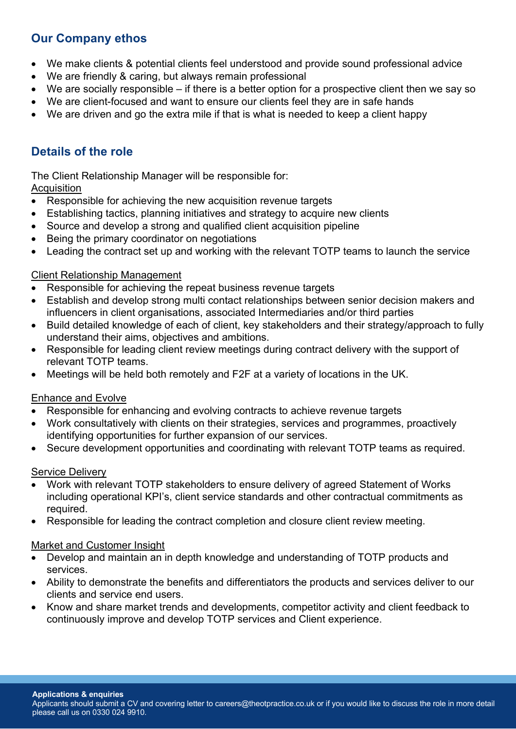## **Our Company ethos**

- We make clients & potential clients feel understood and provide sound professional advice
- We are friendly & caring, but always remain professional
- We are socially responsible if there is a better option for a prospective client then we say so
- We are client-focused and want to ensure our clients feel they are in safe hands
- We are driven and go the extra mile if that is what is needed to keep a client happy

# **Details of the role**

The Client Relationship Manager will be responsible for:

## **Acquisition**

- Responsible for achieving the new acquisition revenue targets
- Establishing tactics, planning initiatives and strategy to acquire new clients
- Source and develop a strong and qualified client acquisition pipeline
- Being the primary coordinator on negotiations
- Leading the contract set up and working with the relevant TOTP teams to launch the service

#### Client Relationship Management

- Responsible for achieving the repeat business revenue targets
- Establish and develop strong multi contact relationships between senior decision makers and influencers in client organisations, associated Intermediaries and/or third parties
- Build detailed knowledge of each of client, key stakeholders and their strategy/approach to fully understand their aims, objectives and ambitions.
- Responsible for leading client review meetings during contract delivery with the support of relevant TOTP teams.
- Meetings will be held both remotely and F2F at a variety of locations in the UK.

#### Enhance and Evolve

- Responsible for enhancing and evolving contracts to achieve revenue targets
- Work consultatively with clients on their strategies, services and programmes, proactively identifying opportunities for further expansion of our services.
- Secure development opportunities and coordinating with relevant TOTP teams as required.

#### Service Delivery

- Work with relevant TOTP stakeholders to ensure delivery of agreed Statement of Works including operational KPI's, client service standards and other contractual commitments as required.
- Responsible for leading the contract completion and closure client review meeting.

#### Market and Customer Insight

- Develop and maintain an in depth knowledge and understanding of TOTP products and services.
- Ability to demonstrate the benefits and differentiators the products and services deliver to our clients and service end users.
- Know and share market trends and developments, competitor activity and client feedback to continuously improve and develop TOTP services and Client experience.